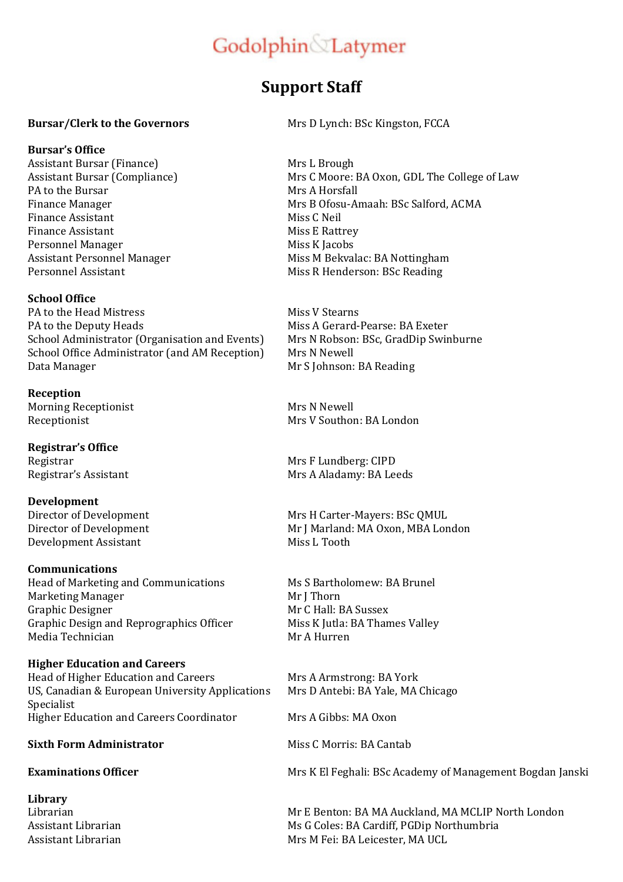# Godolphin Latymer

## **Support Staff**

### **Bursar/Clerk to the Governors Mrs D Lynch: BSc Kingston, FCCA**

### **Bursar's Office**

Assistant Bursar (Finance) Mrs L Brough PA to the Bursar Mrs A Horsfall Finance Assistant Miss C Neil Finance Assistant Miss E Rattrey Personnel Manager Miss K Jacobs

### **School Office**

PA to the Head Mistress Miss V Stearns PA to the Deputy Heads Miss A Gerard-Pearse: BA Exeter School Administrator (Organisation and Events) Mrs N Robson: BSc, GradDip Swinburne School Office Administrator (and AM Reception) Mrs N Newell Data Manager Mr S Johnson: BA Reading

**Reception**  Morning Receptionist Mrs N Newell

**Registrar's Office**

**Development**  Development Assistant Miss L Tooth

### **Communications**

Head of Marketing and Communications Ms S Bartholomew: BA Brunel Marketing Manager Mr J Thorn Graphic Designer Mr C Hall: BA Sussex Graphic Design and Reprographics Officer Miss K Jutla: BA Thames Valley Media Technician Mr A Hurren

### **Higher Education and Careers**

Head of Higher Education and Careers Mrs A Armstrong: BA York US, Canadian & European University Applications Specialist Higher Education and Careers Coordinator Mrs A Gibbs: MA Oxon

### **Sixth Form Administrator Miss C Morris: BA Cantab**

**Library** 

Assistant Bursar (Compliance) Mrs C Moore: BA Oxon, GDL The College of Law Finance Manager Manager Mrs B Ofosu-Amaah: BSc Salford, ACMA Assistant Personnel Manager Miss M Bekvalac: BA Nottingham Personnel Assistant Miss R Henderson: BSc Reading

Receptionist November 2012 1991 Mrs V Southon: BA London

Registrar Mrs F Lundberg: CIPD Registrar's Assistant Mrs A Aladamy: BA Leeds

Director of Development Mrs H Carter-Mayers: BSc QMUL Director of Development Mr J Marland: MA Oxon, MBA London

Mrs D Antebi: BA Yale, MA Chicago

**Examinations Officer Mrs K El Feghali: BSc Academy of Management Bogdan Janski** 

Librarian Mr E Benton: BA MA Auckland, MA MCLIP North London Assistant Librarian Theorem Ms G Coles: BA Cardiff, PGDip Northumbria Assistant Librarian Mrs M Fei: BA Leicester, MA UCL